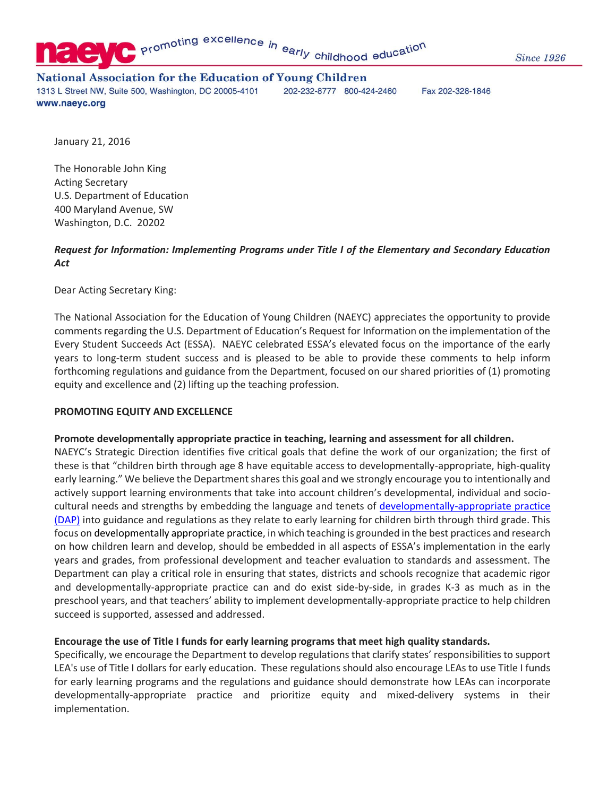

#### **National Association for the Education of Young Children** 1313 L Street NW, Suite 500, Washington, DC 20005-4101 202-232-8777 800-424-2460 www.naeyc.org

Fax 202-328-1846

January 21, 2016

The Honorable John King Acting Secretary U.S. Department of Education 400 Maryland Avenue, SW Washington, D.C. 20202

## *Request for Information: Implementing Programs under Title I of the Elementary and Secondary Education Act*

Dear Acting Secretary King:

The National Association for the Education of Young Children (NAEYC) appreciates the opportunity to provide comments regarding the U.S. Department of Education's Request for Information on the implementation of the Every Student Succeeds Act (ESSA). NAEYC celebrated ESSA's elevated focus on the importance of the early years to long-term student success and is pleased to be able to provide these comments to help inform forthcoming regulations and guidance from the Department, focused on our shared priorities of (1) promoting equity and excellence and (2) lifting up the teaching profession.

### **PROMOTING EQUITY AND EXCELLENCE**

#### **Promote developmentally appropriate practice in teaching, learning and assessment for all children.**

NAEYC's Strategic Direction identifies five critical goals that define the work of our organization; the first of these is that "children birth through age 8 have equitable access to developmentally-appropriate, high-quality early learning." We believe the Department shares this goal and we strongly encourage you to intentionally and actively support learning environments that take into account children's developmental, individual and sociocultural needs and strengths by embedding the language and tenets of [developmentally-appropriate practice](http://www.naeyc.org/DAP)  [\(DAP\)](http://www.naeyc.org/DAP) into guidance and regulations as they relate to early learning for children birth through third grade. This focus on developmentally appropriate practice, in which teaching is grounded in the best practices and research on how children learn and develop, should be embedded in all aspects of ESSA's implementation in the early years and grades, from professional development and teacher evaluation to standards and assessment. The Department can play a critical role in ensuring that states, districts and schools recognize that academic rigor and developmentally-appropriate practice can and do exist side-by-side, in grades K-3 as much as in the preschool years, and that teachers' ability to implement developmentally-appropriate practice to help children succeed is supported, assessed and addressed.

### **Encourage the use of Title I funds for early learning programs that meet high quality standards.**

Specifically, we encourage the Department to develop regulations that clarify states' responsibilities to support LEA's use of Title I dollars for early education. These regulations should also encourage LEAs to use Title I funds for early learning programs and the regulations and guidance should demonstrate how LEAs can incorporate developmentally-appropriate practice and prioritize equity and mixed-delivery systems in their implementation.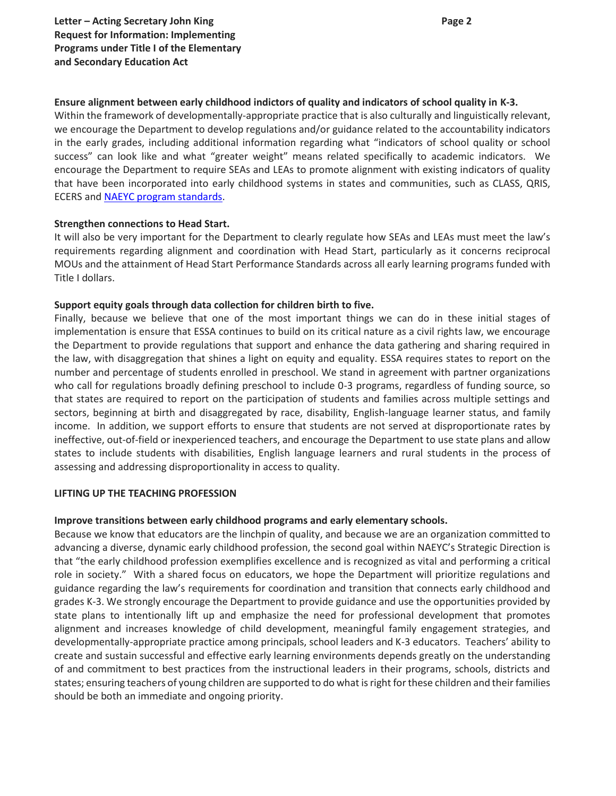## **Ensure alignment between early childhood indictors of quality and indicators of school quality in K-3.**

Within the framework of developmentally-appropriate practice that is also culturally and linguistically relevant, we encourage the Department to develop regulations and/or guidance related to the accountability indicators in the early grades, including additional information regarding what "indicators of school quality or school success" can look like and what "greater weight" means related specifically to academic indicators. We encourage the Department to require SEAs and LEAs to promote alignment with existing indicators of quality that have been incorporated into early childhood systems in states and communities, such as CLASS, QRIS, ECERS an[d NAEYC program standards.](https://www.naeyc.org/academy/content/introduction-naeyc-accreditation-standards-and-criteria)

### **Strengthen connections to Head Start.**

It will also be very important for the Department to clearly regulate how SEAs and LEAs must meet the law's requirements regarding alignment and coordination with Head Start, particularly as it concerns reciprocal MOUs and the attainment of Head Start Performance Standards across all early learning programs funded with Title I dollars.

## **Support equity goals through data collection for children birth to five.**

Finally, because we believe that one of the most important things we can do in these initial stages of implementation is ensure that ESSA continues to build on its critical nature as a civil rights law, we encourage the Department to provide regulations that support and enhance the data gathering and sharing required in the law, with disaggregation that shines a light on equity and equality. ESSA requires states to report on the number and percentage of students enrolled in preschool. We stand in agreement with partner organizations who call for regulations broadly defining preschool to include 0-3 programs, regardless of funding source, so that states are required to report on the participation of students and families across multiple settings and sectors, beginning at birth and disaggregated by race, disability, English-language learner status, and family income. In addition, we support efforts to ensure that students are not served at disproportionate rates by ineffective, out-of-field or inexperienced teachers, and encourage the Department to use state plans and allow states to include students with disabilities, English language learners and rural students in the process of assessing and addressing disproportionality in access to quality.

### **LIFTING UP THE TEACHING PROFESSION**

### **Improve transitions between early childhood programs and early elementary schools.**

Because we know that educators are the linchpin of quality, and because we are an organization committed to advancing a diverse, dynamic early childhood profession, the second goal within NAEYC's Strategic Direction is that "the early childhood profession exemplifies excellence and is recognized as vital and performing a critical role in society." With a shared focus on educators, we hope the Department will prioritize regulations and guidance regarding the law's requirements for coordination and transition that connects early childhood and grades K-3. We strongly encourage the Department to provide guidance and use the opportunities provided by state plans to intentionally lift up and emphasize the need for professional development that promotes alignment and increases knowledge of child development, meaningful family engagement strategies, and developmentally-appropriate practice among principals, school leaders and K-3 educators. Teachers' ability to create and sustain successful and effective early learning environments depends greatly on the understanding of and commitment to best practices from the instructional leaders in their programs, schools, districts and states; ensuring teachers of young children are supported to do what is right for these children and their families should be both an immediate and ongoing priority.